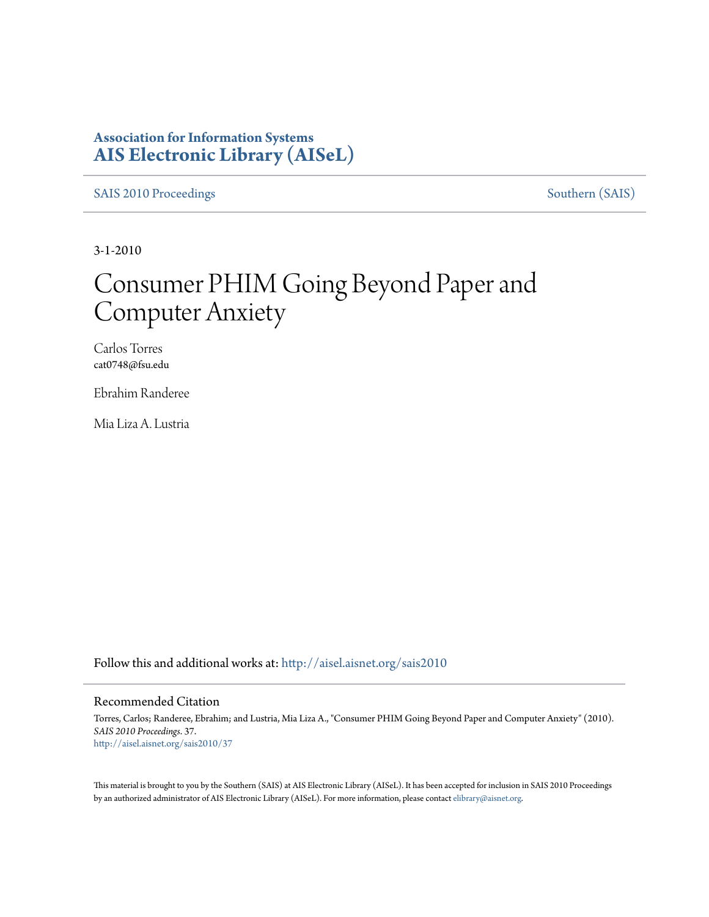### **Association for Information Systems [AIS Electronic Library \(AISeL\)](http://aisel.aisnet.org?utm_source=aisel.aisnet.org%2Fsais2010%2F37&utm_medium=PDF&utm_campaign=PDFCoverPages)**

[SAIS 2010 Proceedings](http://aisel.aisnet.org/sais2010?utm_source=aisel.aisnet.org%2Fsais2010%2F37&utm_medium=PDF&utm_campaign=PDFCoverPages) [Southern \(SAIS\)](http://aisel.aisnet.org/sais?utm_source=aisel.aisnet.org%2Fsais2010%2F37&utm_medium=PDF&utm_campaign=PDFCoverPages)

3-1-2010

# Consumer PHIM Going Beyond Paper and Computer Anxiety

Carlos Torres cat0748@fsu.edu

Ebrahim Randeree

Mia Liza A. Lustria

Follow this and additional works at: [http://aisel.aisnet.org/sais2010](http://aisel.aisnet.org/sais2010?utm_source=aisel.aisnet.org%2Fsais2010%2F37&utm_medium=PDF&utm_campaign=PDFCoverPages)

#### Recommended Citation

Torres, Carlos; Randeree, Ebrahim; and Lustria, Mia Liza A., "Consumer PHIM Going Beyond Paper and Computer Anxiety" (2010). *SAIS 2010 Proceedings*. 37. [http://aisel.aisnet.org/sais2010/37](http://aisel.aisnet.org/sais2010/37?utm_source=aisel.aisnet.org%2Fsais2010%2F37&utm_medium=PDF&utm_campaign=PDFCoverPages)

This material is brought to you by the Southern (SAIS) at AIS Electronic Library (AISeL). It has been accepted for inclusion in SAIS 2010 Proceedings by an authorized administrator of AIS Electronic Library (AISeL). For more information, please contact [elibrary@aisnet.org](mailto:elibrary@aisnet.org%3E).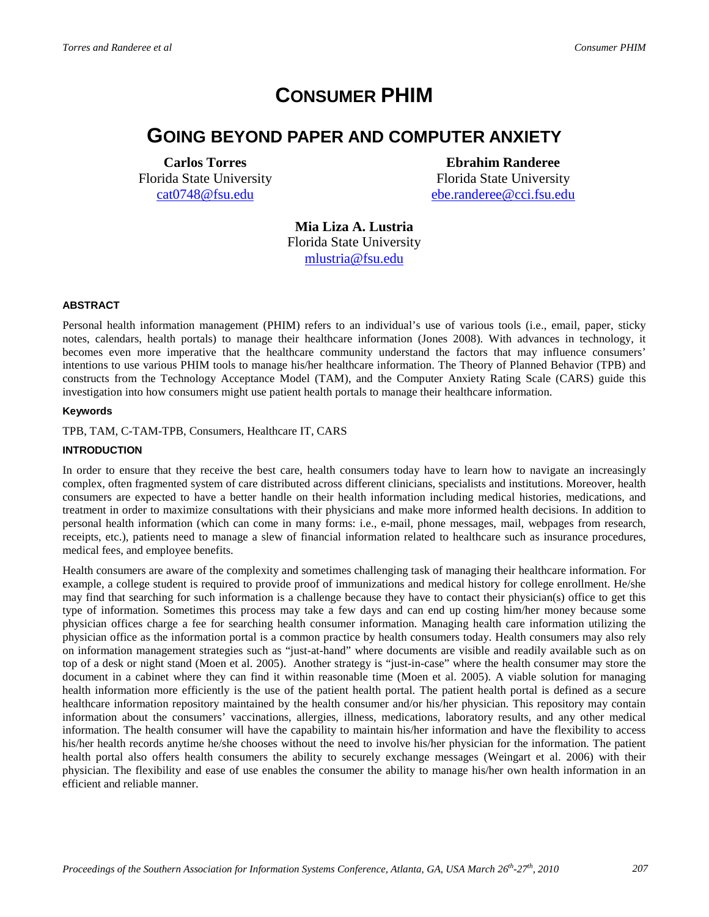# **CONSUMER PHIM**

## **GOING BEYOND PAPER AND COMPUTER ANXIETY**

**Carlos Torres** Florida State University [cat0748@fsu.edu](mailto:cat0748@fsu.edu)

**Ebrahim Randeree** Florida State University [ebe.randeree@cci.fsu.edu](mailto:ebe.randeree@cci.fsu.edu)

**Mia Liza A. Lustria** Florida State University [mlustria@fsu.edu](mailto:mlustria@ci.fsu.edu)

#### **ABSTRACT**

Personal health information management (PHIM) refers to an individual's use of various tools (i.e., email, paper, sticky notes, calendars, health portals) to manage their healthcare information (Jones 2008). With advances in technology, it becomes even more imperative that the healthcare community understand the factors that may influence consumers' intentions to use various PHIM tools to manage his/her healthcare information. The Theory of Planned Behavior (TPB) and constructs from the Technology Acceptance Model (TAM), and the Computer Anxiety Rating Scale (CARS) guide this investigation into how consumers might use patient health portals to manage their healthcare information.

#### **Keywords**

#### TPB, TAM, C-TAM-TPB, Consumers, Healthcare IT, CARS

#### **INTRODUCTION**

In order to ensure that they receive the best care, health consumers today have to learn how to navigate an increasingly complex, often fragmented system of care distributed across different clinicians, specialists and institutions. Moreover, health consumers are expected to have a better handle on their health information including medical histories, medications, and treatment in order to maximize consultations with their physicians and make more informed health decisions. In addition to personal health information (which can come in many forms: i.e., e-mail, phone messages, mail, webpages from research, receipts, etc.), patients need to manage a slew of financial information related to healthcare such as insurance procedures, medical fees, and employee benefits.

Health consumers are aware of the complexity and sometimes challenging task of managing their healthcare information. For example, a college student is required to provide proof of immunizations and medical history for college enrollment. He/she may find that searching for such information is a challenge because they have to contact their physician(s) office to get this type of information. Sometimes this process may take a few days and can end up costing him/her money because some physician offices charge a fee for searching health consumer information. Managing health care information utilizing the physician office as the information portal is a common practice by health consumers today. Health consumers may also rely on information management strategies such as "just-at-hand" where documents are visible and readily available such as on top of a desk or night stand (Moen et al. 2005). Another strategy is "just-in-case" where the health consumer may store the document in a cabinet where they can find it within reasonable time (Moen et al. 2005). A viable solution for managing health information more efficiently is the use of the patient health portal. The patient health portal is defined as a secure healthcare information repository maintained by the health consumer and/or his/her physician. This repository may contain information about the consumers' vaccinations, allergies, illness, medications, laboratory results, and any other medical information. The health consumer will have the capability to maintain his/her information and have the flexibility to access his/her health records anytime he/she chooses without the need to involve his/her physician for the information. The patient health portal also offers health consumers the ability to securely exchange messages (Weingart et al. 2006) with their physician. The flexibility and ease of use enables the consumer the ability to manage his/her own health information in an efficient and reliable manner.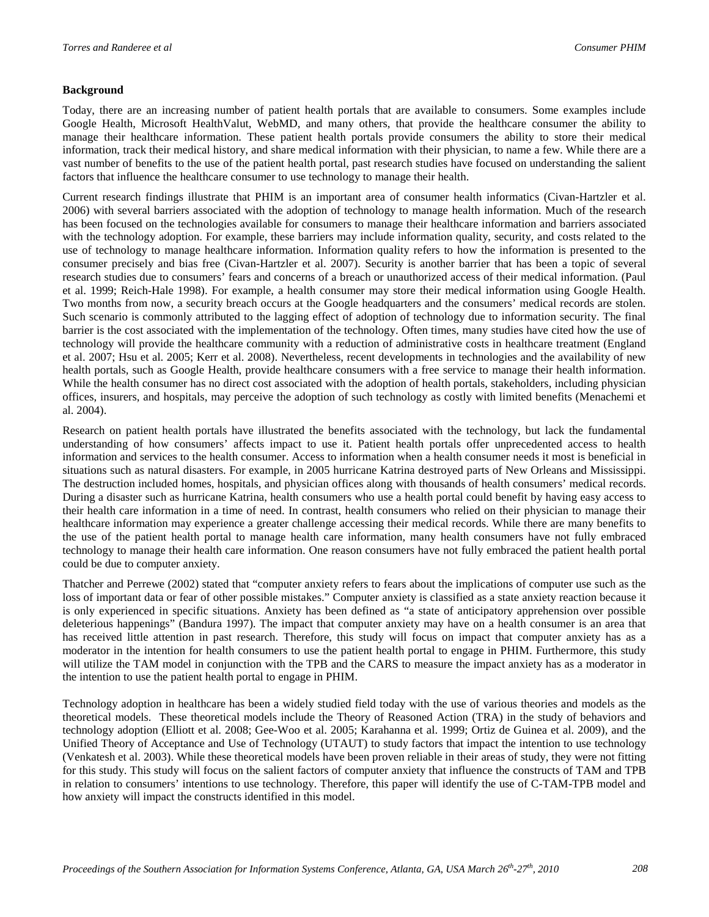#### **Background**

Today, there are an increasing number of patient health portals that are available to consumers. Some examples include Google Health, Microsoft HealthValut, WebMD, and many others, that provide the healthcare consumer the ability to manage their healthcare information. These patient health portals provide consumers the ability to store their medical information, track their medical history, and share medical information with their physician, to name a few. While there are a vast number of benefits to the use of the patient health portal, past research studies have focused on understanding the salient factors that influence the healthcare consumer to use technology to manage their health.

Current research findings illustrate that PHIM is an important area of consumer health informatics (Civan-Hartzler et al. 2006) with several barriers associated with the adoption of technology to manage health information. Much of the research has been focused on the technologies available for consumers to manage their healthcare information and barriers associated with the technology adoption. For example, these barriers may include information quality, security, and costs related to the use of technology to manage healthcare information. Information quality refers to how the information is presented to the consumer precisely and bias free (Civan-Hartzler et al. 2007). Security is another barrier that has been a topic of several research studies due to consumers' fears and concerns of a breach or unauthorized access of their medical information. (Paul et al. 1999; Reich-Hale 1998). For example, a health consumer may store their medical information using Google Health. Two months from now, a security breach occurs at the Google headquarters and the consumers' medical records are stolen. Such scenario is commonly attributed to the lagging effect of adoption of technology due to information security. The final barrier is the cost associated with the implementation of the technology. Often times, many studies have cited how the use of technology will provide the healthcare community with a reduction of administrative costs in healthcare treatment (England et al. 2007; Hsu et al. 2005; Kerr et al. 2008). Nevertheless, recent developments in technologies and the availability of new health portals, such as Google Health, provide healthcare consumers with a free service to manage their health information. While the health consumer has no direct cost associated with the adoption of health portals, stakeholders, including physician offices, insurers, and hospitals, may perceive the adoption of such technology as costly with limited benefits (Menachemi et al. 2004).

Research on patient health portals have illustrated the benefits associated with the technology, but lack the fundamental understanding of how consumers' affects impact to use it. Patient health portals offer unprecedented access to health information and services to the health consumer. Access to information when a health consumer needs it most is beneficial in situations such as natural disasters. For example, in 2005 hurricane Katrina destroyed parts of New Orleans and Mississippi. The destruction included homes, hospitals, and physician offices along with thousands of health consumers' medical records. During a disaster such as hurricane Katrina, health consumers who use a health portal could benefit by having easy access to their health care information in a time of need. In contrast, health consumers who relied on their physician to manage their healthcare information may experience a greater challenge accessing their medical records. While there are many benefits to the use of the patient health portal to manage health care information, many health consumers have not fully embraced technology to manage their health care information. One reason consumers have not fully embraced the patient health portal could be due to computer anxiety.

Thatcher and Perrewe (2002) stated that "computer anxiety refers to fears about the implications of computer use such as the loss of important data or fear of other possible mistakes." Computer anxiety is classified as a state anxiety reaction because it is only experienced in specific situations. Anxiety has been defined as "a state of anticipatory apprehension over possible deleterious happenings" (Bandura 1997). The impact that computer anxiety may have on a health consumer is an area that has received little attention in past research. Therefore, this study will focus on impact that computer anxiety has as a moderator in the intention for health consumers to use the patient health portal to engage in PHIM. Furthermore, this study will utilize the TAM model in conjunction with the TPB and the CARS to measure the impact anxiety has as a moderator in the intention to use the patient health portal to engage in PHIM.

Technology adoption in healthcare has been a widely studied field today with the use of various theories and models as the theoretical models. These theoretical models include the Theory of Reasoned Action (TRA) in the study of behaviors and technology adoption (Elliott et al. 2008; Gee-Woo et al. 2005; Karahanna et al. 1999; Ortiz de Guinea et al. 2009), and the Unified Theory of Acceptance and Use of Technology (UTAUT) to study factors that impact the intention to use technology (Venkatesh et al. 2003). While these theoretical models have been proven reliable in their areas of study, they were not fitting for this study. This study will focus on the salient factors of computer anxiety that influence the constructs of TAM and TPB in relation to consumers' intentions to use technology. Therefore, this paper will identify the use of C-TAM-TPB model and how anxiety will impact the constructs identified in this model.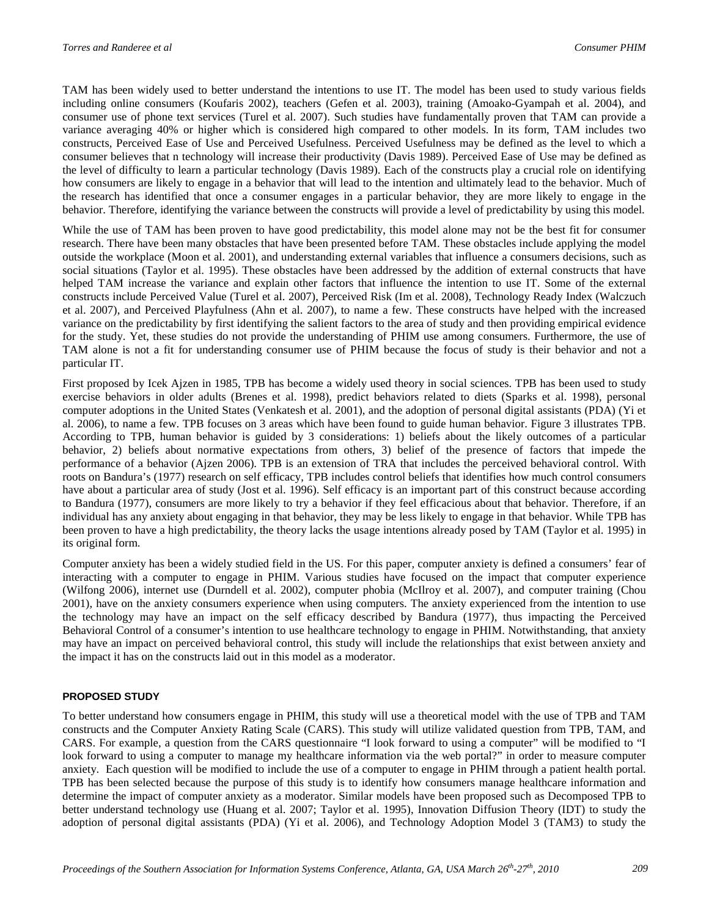TAM has been widely used to better understand the intentions to use IT. The model has been used to study various fields including online consumers (Koufaris 2002), teachers (Gefen et al. 2003), training (Amoako-Gyampah et al. 2004), and consumer use of phone text services (Turel et al. 2007). Such studies have fundamentally proven that TAM can provide a variance averaging 40% or higher which is considered high compared to other models. In its form, TAM includes two constructs, Perceived Ease of Use and Perceived Usefulness. Perceived Usefulness may be defined as the level to which a consumer believes that n technology will increase their productivity (Davis 1989). Perceived Ease of Use may be defined as the level of difficulty to learn a particular technology (Davis 1989). Each of the constructs play a crucial role on identifying how consumers are likely to engage in a behavior that will lead to the intention and ultimately lead to the behavior. Much of the research has identified that once a consumer engages in a particular behavior, they are more likely to engage in the behavior. Therefore, identifying the variance between the constructs will provide a level of predictability by using this model.

While the use of TAM has been proven to have good predictability, this model alone may not be the best fit for consumer research. There have been many obstacles that have been presented before TAM. These obstacles include applying the model outside the workplace (Moon et al. 2001), and understanding external variables that influence a consumers decisions, such as social situations (Taylor et al. 1995). These obstacles have been addressed by the addition of external constructs that have helped TAM increase the variance and explain other factors that influence the intention to use IT. Some of the external constructs include Perceived Value (Turel et al. 2007), Perceived Risk (Im et al. 2008), Technology Ready Index (Walczuch et al. 2007), and Perceived Playfulness (Ahn et al. 2007), to name a few. These constructs have helped with the increased variance on the predictability by first identifying the salient factors to the area of study and then providing empirical evidence for the study. Yet, these studies do not provide the understanding of PHIM use among consumers. Furthermore, the use of TAM alone is not a fit for understanding consumer use of PHIM because the focus of study is their behavior and not a particular IT.

First proposed by Icek Ajzen in 1985, TPB has become a widely used theory in social sciences. TPB has been used to study exercise behaviors in older adults (Brenes et al. 1998), predict behaviors related to diets (Sparks et al. 1998), personal computer adoptions in the United States (Venkatesh et al. 2001), and the adoption of personal digital assistants (PDA) (Yi et al. 2006), to name a few. TPB focuses on 3 areas which have been found to guide human behavior. Figure 3 illustrates TPB. According to TPB, human behavior is guided by 3 considerations: 1) beliefs about the likely outcomes of a particular behavior, 2) beliefs about normative expectations from others, 3) belief of the presence of factors that impede the performance of a behavior (Ajzen 2006). TPB is an extension of TRA that includes the perceived behavioral control. With roots on Bandura's (1977) research on self efficacy, TPB includes control beliefs that identifies how much control consumers have about a particular area of study (Jost et al. 1996). Self efficacy is an important part of this construct because according to Bandura (1977), consumers are more likely to try a behavior if they feel efficacious about that behavior. Therefore, if an individual has any anxiety about engaging in that behavior, they may be less likely to engage in that behavior. While TPB has been proven to have a high predictability, the theory lacks the usage intentions already posed by TAM (Taylor et al. 1995) in its original form.

Computer anxiety has been a widely studied field in the US. For this paper, computer anxiety is defined a consumers' fear of interacting with a computer to engage in PHIM. Various studies have focused on the impact that computer experience (Wilfong 2006), internet use (Durndell et al. 2002), computer phobia (McIlroy et al. 2007), and computer training (Chou 2001), have on the anxiety consumers experience when using computers. The anxiety experienced from the intention to use the technology may have an impact on the self efficacy described by Bandura (1977), thus impacting the Perceived Behavioral Control of a consumer's intention to use healthcare technology to engage in PHIM. Notwithstanding, that anxiety may have an impact on perceived behavioral control, this study will include the relationships that exist between anxiety and the impact it has on the constructs laid out in this model as a moderator.

#### **PROPOSED STUDY**

To better understand how consumers engage in PHIM, this study will use a theoretical model with the use of TPB and TAM constructs and the Computer Anxiety Rating Scale (CARS). This study will utilize validated question from TPB, TAM, and CARS. For example, a question from the CARS questionnaire "I look forward to using a computer" will be modified to "I look forward to using a computer to manage my healthcare information via the web portal?" in order to measure computer anxiety. Each question will be modified to include the use of a computer to engage in PHIM through a patient health portal. TPB has been selected because the purpose of this study is to identify how consumers manage healthcare information and determine the impact of computer anxiety as a moderator. Similar models have been proposed such as Decomposed TPB to better understand technology use (Huang et al. 2007; Taylor et al. 1995), Innovation Diffusion Theory (IDT) to study the adoption of personal digital assistants (PDA) (Yi et al. 2006), and Technology Adoption Model 3 (TAM3) to study the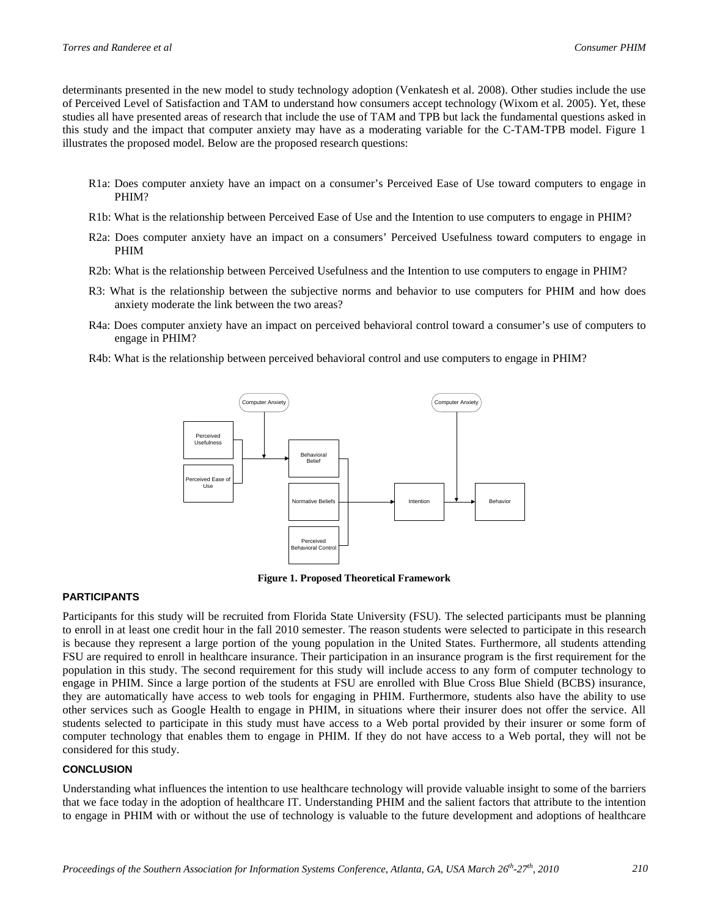determinants presented in the new model to study technology adoption (Venkatesh et al. 2008). Other studies include the use of Perceived Level of Satisfaction and TAM to understand how consumers accept technology (Wixom et al. 2005). Yet, these studies all have presented areas of research that include the use of TAM and TPB but lack the fundamental questions asked in this study and the impact that computer anxiety may have as a moderating variable for the C-TAM-TPB model. Figure 1 illustrates the proposed model. Below are the proposed research questions:

- R1a: Does computer anxiety have an impact on a consumer's Perceived Ease of Use toward computers to engage in PHIM?
- R1b: What is the relationship between Perceived Ease of Use and the Intention to use computers to engage in PHIM?
- R2a: Does computer anxiety have an impact on a consumers' Perceived Usefulness toward computers to engage in PHIM
- R2b: What is the relationship between Perceived Usefulness and the Intention to use computers to engage in PHIM?
- R3: What is the relationship between the subjective norms and behavior to use computers for PHIM and how does anxiety moderate the link between the two areas?
- R4a: Does computer anxiety have an impact on perceived behavioral control toward a consumer's use of computers to engage in PHIM?
- R4b: What is the relationship between perceived behavioral control and use computers to engage in PHIM?



**Figure 1. Proposed Theoretical Framework**

#### **PARTICIPANTS**

Participants for this study will be recruited from Florida State University (FSU). The selected participants must be planning to enroll in at least one credit hour in the fall 2010 semester. The reason students were selected to participate in this research is because they represent a large portion of the young population in the United States. Furthermore, all students attending FSU are required to enroll in healthcare insurance. Their participation in an insurance program is the first requirement for the population in this study. The second requirement for this study will include access to any form of computer technology to engage in PHIM. Since a large portion of the students at FSU are enrolled with Blue Cross Blue Shield (BCBS) insurance, they are automatically have access to web tools for engaging in PHIM. Furthermore, students also have the ability to use other services such as Google Health to engage in PHIM, in situations where their insurer does not offer the service. All students selected to participate in this study must have access to a Web portal provided by their insurer or some form of computer technology that enables them to engage in PHIM. If they do not have access to a Web portal, they will not be considered for this study.

#### **CONCLUSION**

Understanding what influences the intention to use healthcare technology will provide valuable insight to some of the barriers that we face today in the adoption of healthcare IT. Understanding PHIM and the salient factors that attribute to the intention to engage in PHIM with or without the use of technology is valuable to the future development and adoptions of healthcare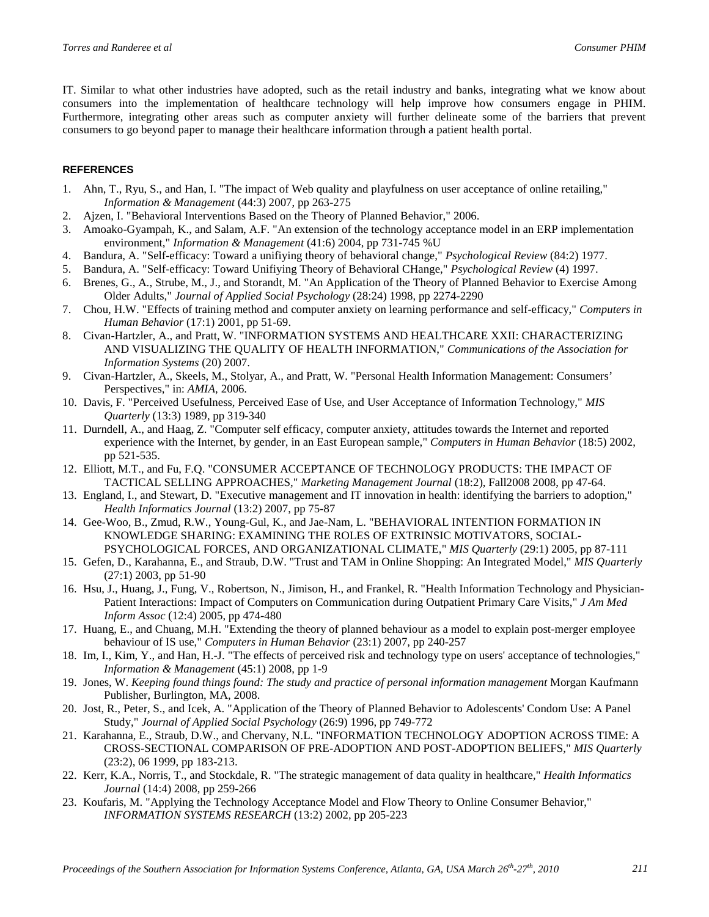IT. Similar to what other industries have adopted, such as the retail industry and banks, integrating what we know about consumers into the implementation of healthcare technology will help improve how consumers engage in PHIM. Furthermore, integrating other areas such as computer anxiety will further delineate some of the barriers that prevent consumers to go beyond paper to manage their healthcare information through a patient health portal.

#### **REFERENCES**

- 1. Ahn, T., Ryu, S., and Han, I. "The impact of Web quality and playfulness on user acceptance of online retailing," *Information & Management* (44:3) 2007, pp 263-275
- 2. Ajzen, I. "Behavioral Interventions Based on the Theory of Planned Behavior," 2006.
- 3. Amoako-Gyampah, K., and Salam, A.F. "An extension of the technology acceptance model in an ERP implementation environment," *Information & Management* (41:6) 2004, pp 731-745 %U
- 4. Bandura, A. "Self-efficacy: Toward a unifiying theory of behavioral change," *Psychological Review* (84:2) 1977.
- 5. Bandura, A. "Self-efficacy: Toward Unifiying Theory of Behavioral CHange," *Psychological Review* (4) 1997.
- 6. Brenes, G., A., Strube, M., J., and Storandt, M. "An Application of the Theory of Planned Behavior to Exercise Among Older Adults," *Journal of Applied Social Psychology* (28:24) 1998, pp 2274-2290
- 7. Chou, H.W. "Effects of training method and computer anxiety on learning performance and self-efficacy," *Computers in Human Behavior* (17:1) 2001, pp 51-69.
- 8. Civan-Hartzler, A., and Pratt, W. "INFORMATION SYSTEMS AND HEALTHCARE XXII: CHARACTERIZING AND VISUALIZING THE QUALITY OF HEALTH INFORMATION," *Communications of the Association for Information Systems* (20) 2007.
- 9. Civan-Hartzler, A., Skeels, M., Stolyar, A., and Pratt, W. "Personal Health Information Management: Consumers' Perspectives," in: *AMIA*, 2006.
- 10. Davis, F. "Perceived Usefulness, Perceived Ease of Use, and User Acceptance of Information Technology," *MIS Quarterly* (13:3) 1989, pp 319-340
- 11. Durndell, A., and Haag, Z. "Computer self efficacy, computer anxiety, attitudes towards the Internet and reported experience with the Internet, by gender, in an East European sample," *Computers in Human Behavior* (18:5) 2002, pp 521-535.
- 12. Elliott, M.T., and Fu, F.Q. "CONSUMER ACCEPTANCE OF TECHNOLOGY PRODUCTS: THE IMPACT OF TACTICAL SELLING APPROACHES," *Marketing Management Journal* (18:2), Fall2008 2008, pp 47-64.
- 13. England, I., and Stewart, D. "Executive management and IT innovation in health: identifying the barriers to adoption," *Health Informatics Journal* (13:2) 2007, pp 75-87
- 14. Gee-Woo, B., Zmud, R.W., Young-Gul, K., and Jae-Nam, L. "BEHAVIORAL INTENTION FORMATION IN KNOWLEDGE SHARING: EXAMINING THE ROLES OF EXTRINSIC MOTIVATORS, SOCIAL-PSYCHOLOGICAL FORCES, AND ORGANIZATIONAL CLIMATE," *MIS Quarterly* (29:1) 2005, pp 87-111
- 15. Gefen, D., Karahanna, E., and Straub, D.W. "Trust and TAM in Online Shopping: An Integrated Model," *MIS Quarterly* (27:1) 2003, pp 51-90
- 16. Hsu, J., Huang, J., Fung, V., Robertson, N., Jimison, H., and Frankel, R. "Health Information Technology and Physician-Patient Interactions: Impact of Computers on Communication during Outpatient Primary Care Visits," *J Am Med Inform Assoc* (12:4) 2005, pp 474-480
- 17. Huang, E., and Chuang, M.H. "Extending the theory of planned behaviour as a model to explain post-merger employee behaviour of IS use," *Computers in Human Behavior* (23:1) 2007, pp 240-257
- 18. Im, I., Kim, Y., and Han, H.-J. "The effects of perceived risk and technology type on users' acceptance of technologies," *Information & Management* (45:1) 2008, pp 1-9
- 19. Jones, W. *Keeping found things found: The study and practice of personal information management* Morgan Kaufmann Publisher, Burlington, MA, 2008.
- 20. Jost, R., Peter, S., and Icek, A. "Application of the Theory of Planned Behavior to Adolescents' Condom Use: A Panel Study," *Journal of Applied Social Psychology* (26:9) 1996, pp 749-772
- 21. Karahanna, E., Straub, D.W., and Chervany, N.L. "INFORMATION TECHNOLOGY ADOPTION ACROSS TIME: A CROSS-SECTIONAL COMPARISON OF PRE-ADOPTION AND POST-ADOPTION BELIEFS," *MIS Quarterly* (23:2), 06 1999, pp 183-213.
- 22. Kerr, K.A., Norris, T., and Stockdale, R. "The strategic management of data quality in healthcare," *Health Informatics Journal* (14:4) 2008, pp 259-266
- 23. Koufaris, M. "Applying the Technology Acceptance Model and Flow Theory to Online Consumer Behavior," *INFORMATION SYSTEMS RESEARCH* (13:2) 2002, pp 205-223